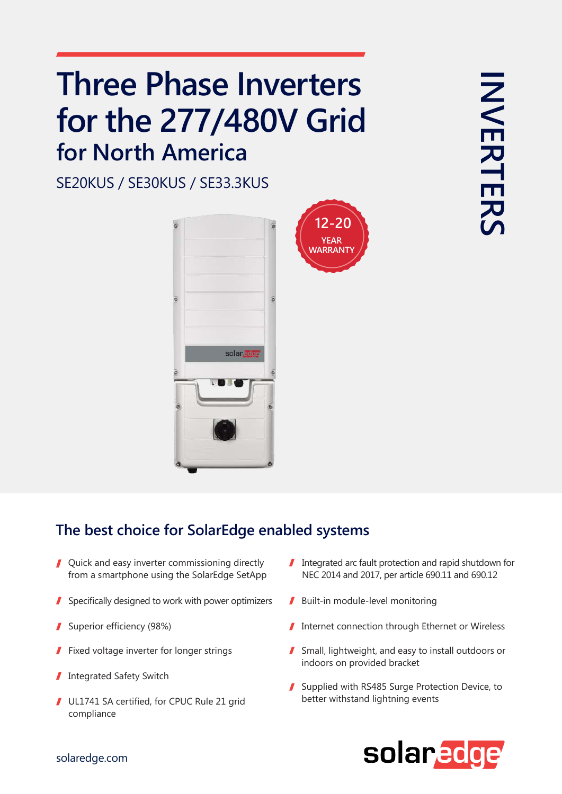## **Three Phase Inverters for the 277/480V Grid for North America**

SE20KUS / SE30KUS / SE33.3KUS



## **The best choice for SolarEdge enabled systems**

- **Quick and easy inverter commissioning directly** from a smartphone using the SolarEdge SetApp
- 1 Specifically designed to work with power optimizers  $\blacksquare$  Built-in module-level monitoring
- 
- Fixed voltage inverter for longer strings
- Integrated Safety Switch I
- UL1741 SA certified, for CPUC Rule 21 grid compliance
- Integrated arc fault protection and rapid shutdown for NEC 2014 and 2017, per article 690.11 and 690.12
- 

**12-20 YEAR**

- Superior efficiency (98%) Superior efficiency (98%) **Internet connection through Ethernet or Wireless** 
	- Small, lightweight, and easy to install outdoors or indoors on provided bracket
	- Supplied with RS485 Surge Protection Device, to better withstand lightning events



## solaredge.com